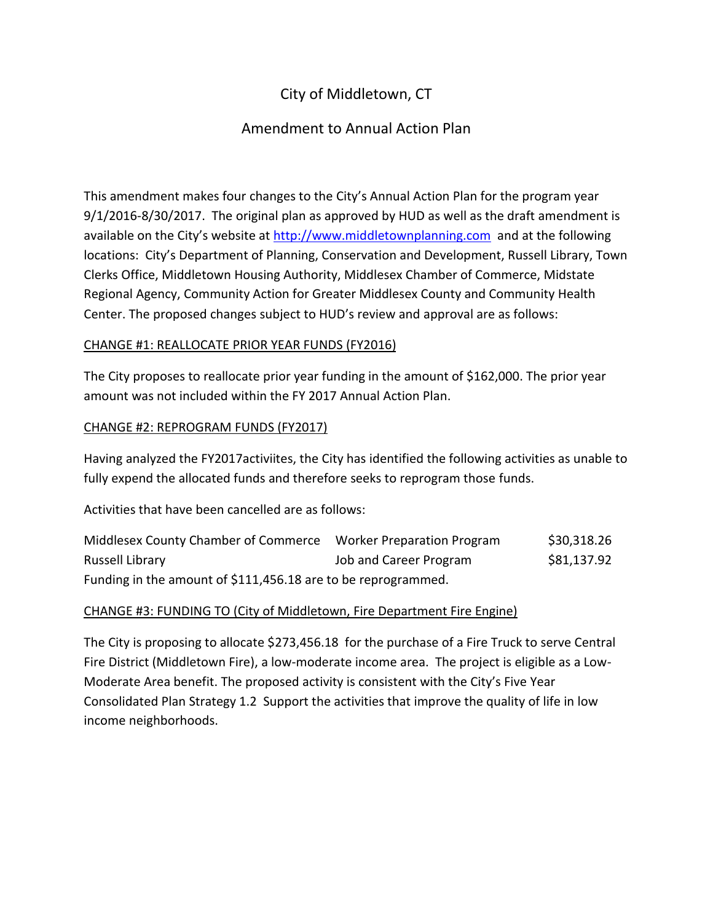# City of Middletown, CT

## Amendment to Annual Action Plan

This amendment makes four changes to the City's Annual Action Plan for the program year 9/1/2016-8/30/2017. The original plan as approved by HUD as well as the draft amendment is available on the City's website at [http://www.middletownplanning.com](http://www.middletownplanning.com/) and at the following locations: City's Department of Planning, Conservation and Development, Russell Library, Town Clerks Office, Middletown Housing Authority, Middlesex Chamber of Commerce, Midstate Regional Agency, Community Action for Greater Middlesex County and Community Health Center. The proposed changes subject to HUD's review and approval are as follows:

### CHANGE #1: REALLOCATE PRIOR YEAR FUNDS (FY2016)

The City proposes to reallocate prior year funding in the amount of \$162,000. The prior year amount was not included within the FY 2017 Annual Action Plan.

#### CHANGE #2: REPROGRAM FUNDS (FY2017)

Having analyzed the FY2017activiites, the City has identified the following activities as unable to fully expend the allocated funds and therefore seeks to reprogram those funds.

Activities that have been cancelled are as follows:

| Middlesex County Chamber of Commerce                          | Worker Preparation Program | \$30,318.26 |
|---------------------------------------------------------------|----------------------------|-------------|
| Russell Library                                               | Job and Career Program     | \$81,137.92 |
| Funding in the amount of \$111,456.18 are to be reprogrammed. |                            |             |

### CHANGE #3: FUNDING TO (City of Middletown, Fire Department Fire Engine)

The City is proposing to allocate \$273,456.18 for the purchase of a Fire Truck to serve Central Fire District (Middletown Fire), a low-moderate income area. The project is eligible as a Low-Moderate Area benefit. The proposed activity is consistent with the City's Five Year Consolidated Plan Strategy 1.2 Support the activities that improve the quality of life in low income neighborhoods.